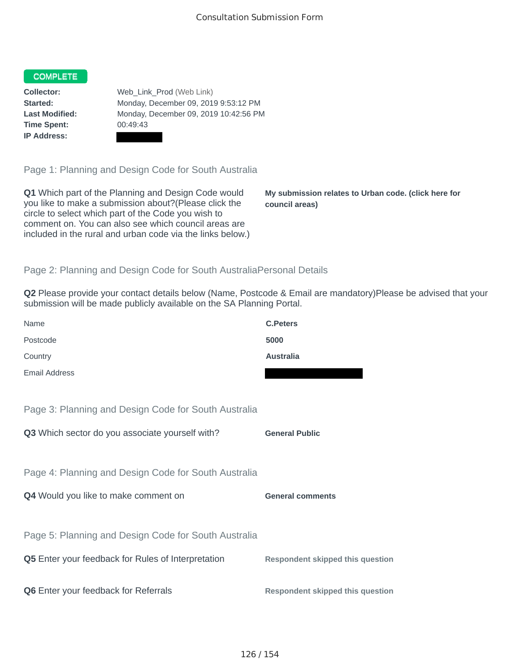## COMPLETE

**Time Spent:** 00:49:43 **IP Address:**

**Collector:** Web\_Link\_Prod (Web Link) **Started:** Monday, December 09, 2019 9:53:12 PM **Last Modified:** Monday, December 09, 2019 10:42:56 PM

Page 1: Planning and Design Code for South Australia

**Q1** Which part of the Planning and Design Code would you like to make a submission about?(Please click the circle to select which part of the Code you wish to comment on. You can also see which council areas are included in the rural and urban code via the links below.)

**My submission relates to Urban code. (click here for council areas)**

## Page 2: Planning and Design Code for South AustraliaPersonal Details

**Q2** Please provide your contact details below (Name, Postcode & Email are mandatory)Please be advised that your submission will be made publicly available on the SA Planning Portal.

| Name                                                 | <b>C.Peters</b>                         |
|------------------------------------------------------|-----------------------------------------|
| Postcode                                             | 5000                                    |
| Country                                              | <b>Australia</b>                        |
| <b>Email Address</b>                                 |                                         |
|                                                      |                                         |
| Page 3: Planning and Design Code for South Australia |                                         |
| Q3 Which sector do you associate yourself with?      | <b>General Public</b>                   |
|                                                      |                                         |
| Page 4: Planning and Design Code for South Australia |                                         |
| Q4 Would you like to make comment on                 | <b>General comments</b>                 |
|                                                      |                                         |
| Page 5: Planning and Design Code for South Australia |                                         |
| Q5 Enter your feedback for Rules of Interpretation   | <b>Respondent skipped this question</b> |
|                                                      |                                         |
| Q6 Enter your feedback for Referrals                 | <b>Respondent skipped this question</b> |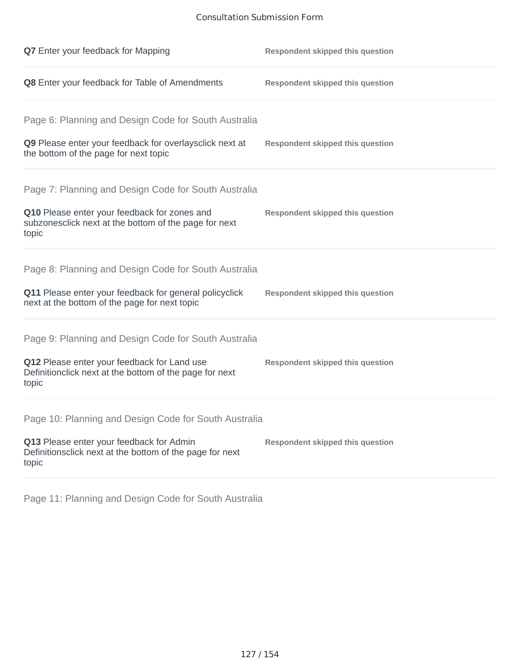## Consultation Submission Form

| Q7 Enter your feedback for Mapping                                                                              | <b>Respondent skipped this question</b> |
|-----------------------------------------------------------------------------------------------------------------|-----------------------------------------|
| Q8 Enter your feedback for Table of Amendments                                                                  | <b>Respondent skipped this question</b> |
| Page 6: Planning and Design Code for South Australia                                                            |                                         |
| Q9 Please enter your feedback for overlaysclick next at<br>the bottom of the page for next topic                | <b>Respondent skipped this question</b> |
| Page 7: Planning and Design Code for South Australia                                                            |                                         |
| Q10 Please enter your feedback for zones and<br>subzonesclick next at the bottom of the page for next<br>topic  | <b>Respondent skipped this question</b> |
| Page 8: Planning and Design Code for South Australia                                                            |                                         |
| Q11 Please enter your feedback for general policyclick<br>next at the bottom of the page for next topic         | <b>Respondent skipped this question</b> |
| Page 9: Planning and Design Code for South Australia                                                            |                                         |
| Q12 Please enter your feedback for Land use<br>Definitionclick next at the bottom of the page for next<br>topic | <b>Respondent skipped this question</b> |
| Page 10: Planning and Design Code for South Australia                                                           |                                         |
| Q13 Please enter your feedback for Admin<br>Definitionsclick next at the bottom of the page for next<br>topic   | <b>Respondent skipped this question</b> |
|                                                                                                                 |                                         |

Page 11: Planning and Design Code for South Australia